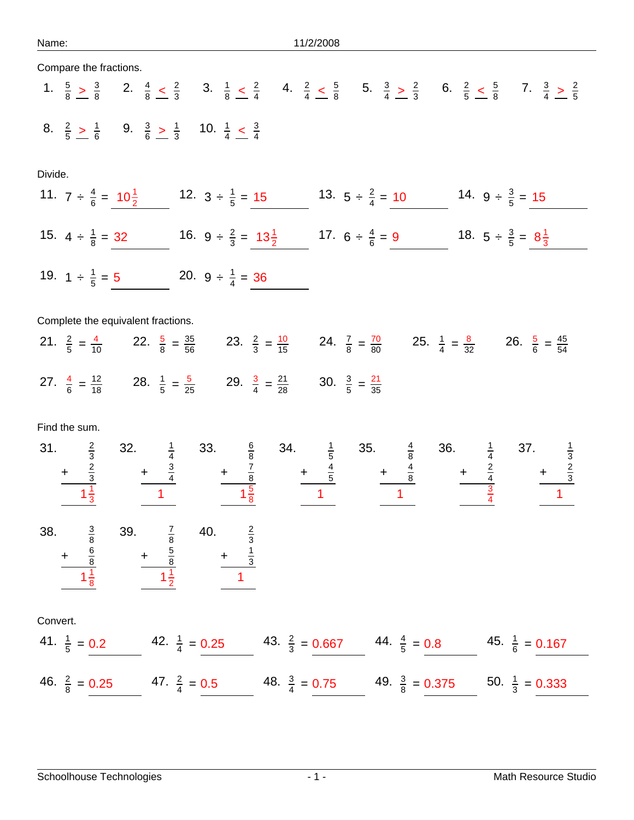| Compare the fractions.                                                                                                                                                                                                                                                                                                 |                          |                           |                                         |  |  |  |
|------------------------------------------------------------------------------------------------------------------------------------------------------------------------------------------------------------------------------------------------------------------------------------------------------------------------|--------------------------|---------------------------|-----------------------------------------|--|--|--|
| 1. $\frac{5}{8}$ > $\frac{3}{8}$ 2. $\frac{4}{8}$ $\leq \frac{2}{3}$ 3. $\frac{1}{8}$ $\leq \frac{2}{4}$ 4. $\frac{2}{4}$ $\leq \frac{5}{8}$ 5. $\frac{3}{4}$ $\geq \frac{2}{3}$ 6. $\frac{2}{5}$ $\leq \frac{5}{8}$ 7. $\frac{3}{4}$ $\geq \frac{2}{5}$                                                               |                          |                           |                                         |  |  |  |
| 8. $\frac{2}{5}$ > $\frac{1}{6}$ 9. $\frac{3}{6}$ > $\frac{1}{3}$ 10. $\frac{1}{4}$ < $\frac{3}{4}$                                                                                                                                                                                                                    |                          |                           |                                         |  |  |  |
| Divide.                                                                                                                                                                                                                                                                                                                |                          |                           |                                         |  |  |  |
| 11. $7 \div \frac{4}{6} = 10\frac{1}{2}$ 12. $3 \div \frac{1}{5} = 15$ 13. $5 \div \frac{2}{4} = 10$ 14. $9 \div \frac{3}{5} = 15$                                                                                                                                                                                     |                          |                           |                                         |  |  |  |
| 15. $4 \div \frac{1}{8} = 32$ 16. $9 \div \frac{2}{3} = 13\frac{1}{2}$ 17. $6 \div \frac{4}{6} = 9$                                                                                                                                                                                                                    |                          |                           | 18. $5 \div \frac{3}{5} = 8\frac{1}{3}$ |  |  |  |
| 19. $1 \div \frac{1}{5} = 5$ 20. $9 \div \frac{1}{4} = 36$                                                                                                                                                                                                                                                             |                          |                           |                                         |  |  |  |
| Complete the equivalent fractions.                                                                                                                                                                                                                                                                                     |                          |                           |                                         |  |  |  |
| 21. $\frac{2}{5} = \frac{4}{10}$ 22. $\frac{5}{8} = \frac{35}{56}$ 23. $\frac{2}{3} = \frac{10}{15}$ 24. $\frac{7}{8} = \frac{70}{80}$ 25. $\frac{1}{4} = \frac{8}{32}$ 26. $\frac{5}{6} = \frac{45}{54}$                                                                                                              |                          |                           |                                         |  |  |  |
| 27. $\frac{4}{6} = \frac{12}{18}$ 28. $\frac{1}{5} = \frac{5}{25}$ 29. $\frac{3}{4} = \frac{21}{28}$ 30. $\frac{3}{5} = \frac{21}{35}$                                                                                                                                                                                 |                          |                           |                                         |  |  |  |
| Find the sum.                                                                                                                                                                                                                                                                                                          |                          |                           |                                         |  |  |  |
|                                                                                                                                                                                                                                                                                                                        |                          |                           |                                         |  |  |  |
| 31. $\frac{2}{3}$ 32. $\frac{1}{4}$ 33. $\frac{6}{8}$ 34. $\frac{1}{5}$ 35. $\frac{4}{8}$ 36. $\frac{1}{4}$ 37. $\frac{1}{3}$<br>$+\frac{2}{3}$ $+\frac{3}{4}$ $+\frac{7}{8}$ $+\frac{4}{5}$ $+\frac{4}{5}$ $+\frac{4}{8}$ $+\frac{2}{4}$ $+\frac{2}{3}$<br>$1\frac{1}{3}$ $1\frac{5}{8}$ $1\frac{1}{2}$ $1\frac{3}{4$ |                          |                           |                                         |  |  |  |
|                                                                                                                                                                                                                                                                                                                        |                          |                           |                                         |  |  |  |
| 38. $rac{3}{8}$<br>+ $rac{6}{8}$<br>1 $rac{1}{8}$<br>39. $\frac{7}{8}$ 40. $\frac{2}{3}$<br>+ $\frac{5}{8}$ + $\frac{1}{3}$<br>1 $\frac{1}{2}$ 1                                                                                                                                                                       |                          |                           |                                         |  |  |  |
| Convert.                                                                                                                                                                                                                                                                                                               |                          |                           |                                         |  |  |  |
| 41. $\frac{1}{5} = 0.2$ 42. $\frac{1}{4} = 0.25$ 43. $\frac{2}{3} = 0.667$ 44. $\frac{4}{5} = 0.8$ 45. $\frac{1}{6} = 0.167$                                                                                                                                                                                           |                          |                           |                                         |  |  |  |
| 46. $\frac{2}{8}$ = 0.25<br>47. $\frac{2}{4} = 0.5$                                                                                                                                                                                                                                                                    | 48. $\frac{3}{4}$ = 0.75 | 49. $\frac{3}{8}$ = 0.375 | 50. $\frac{1}{3}$ = 0.333               |  |  |  |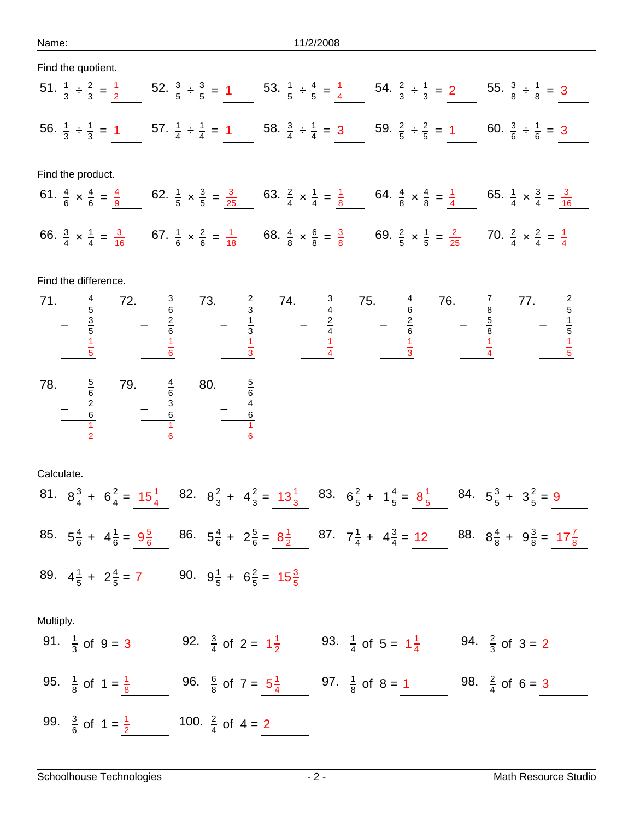Name: 11/2/2008

| Find the quotient.                                                                      |                                                 |                                                                                                                                                                                                                                                                                                                    |  |  |  |  |  |  |
|-----------------------------------------------------------------------------------------|-------------------------------------------------|--------------------------------------------------------------------------------------------------------------------------------------------------------------------------------------------------------------------------------------------------------------------------------------------------------------------|--|--|--|--|--|--|
|                                                                                         |                                                 | 51. $\frac{1}{3} \div \frac{2}{3} = \frac{1}{2}$ 52. $\frac{3}{5} \div \frac{3}{5} = 1$ 53. $\frac{1}{5} \div \frac{4}{5} = \frac{1}{4}$ 54. $\frac{2}{3} \div \frac{1}{3} = 2$ 55. $\frac{3}{8} \div \frac{1}{8} = 3$                                                                                             |  |  |  |  |  |  |
|                                                                                         |                                                 | 56. $\frac{1}{3} \div \frac{1}{3} = 1$ 57. $\frac{1}{4} \div \frac{1}{4} = 1$ 58. $\frac{3}{4} \div \frac{1}{4} = 3$ 59. $\frac{2}{5} \div \frac{2}{5} = 1$ 60. $\frac{3}{6} \div \frac{1}{6} = 3$                                                                                                                 |  |  |  |  |  |  |
| Find the product.                                                                       |                                                 |                                                                                                                                                                                                                                                                                                                    |  |  |  |  |  |  |
|                                                                                         |                                                 | 61. $\frac{4}{6} \times \frac{4}{6} = \frac{4}{9}$ 62. $\frac{1}{5} \times \frac{3}{5} = \frac{3}{25}$ 63. $\frac{2}{4} \times \frac{1}{4} = \frac{1}{8}$ 64. $\frac{4}{8} \times \frac{4}{8} = \frac{1}{4}$ 65. $\frac{1}{4} \times \frac{3}{4} = \frac{3}{16}$                                                   |  |  |  |  |  |  |
|                                                                                         |                                                 | 66. $\frac{3}{4} \times \frac{1}{4} = \frac{3}{16}$ 67. $\frac{1}{6} \times \frac{2}{6} = \frac{1}{18}$ 68. $\frac{4}{8} \times \frac{6}{8} = \frac{3}{8}$ 69. $\frac{2}{5} \times \frac{1}{5} = \frac{2}{25}$ 70. $\frac{2}{4} \times \frac{2}{4} = \frac{1}{4}$                                                  |  |  |  |  |  |  |
| Find the difference.                                                                    |                                                 |                                                                                                                                                                                                                                                                                                                    |  |  |  |  |  |  |
|                                                                                         |                                                 | 71. $\frac{4}{5}$ 72. $\frac{3}{6}$ 73. $\frac{2}{3}$ 74. $\frac{3}{4}$ 75. $\frac{4}{6}$ 76. $\frac{7}{8}$ 77. $\frac{2}{5}$<br>$-\frac{3}{5}$ $-\frac{2}{6}$ $-\frac{1}{3}$ $-\frac{2}{4}$ $-\frac{2}{6}$ $-\frac{5}{8}$ $-\frac{1}{5}$<br>$\frac{1}{6}$ $\frac{1}{3}$ $\frac{1}{4}$ $\frac{1}{3}$ $\frac{1}{4}$ |  |  |  |  |  |  |
|                                                                                         |                                                 |                                                                                                                                                                                                                                                                                                                    |  |  |  |  |  |  |
| 78. $\frac{5}{6}$ 79. $\frac{4}{6}$ 80.<br>$-\frac{2}{6}$ $-\frac{3}{6}$ $\frac{1}{6}$  | 80. $rac{5}{6}$<br>$ rac{4}{6}$<br>$ rac{4}{6}$ |                                                                                                                                                                                                                                                                                                                    |  |  |  |  |  |  |
|                                                                                         |                                                 |                                                                                                                                                                                                                                                                                                                    |  |  |  |  |  |  |
| Calculate.                                                                              |                                                 |                                                                                                                                                                                                                                                                                                                    |  |  |  |  |  |  |
|                                                                                         |                                                 | 81. $8\frac{3}{4}$ + $6\frac{2}{4}$ = $15\frac{1}{4}$ 82. $8\frac{2}{3}$ + $4\frac{2}{3}$ = $13\frac{1}{3}$ 83. $6\frac{2}{5}$ + $1\frac{4}{5}$ = $8\frac{1}{5}$ 84. $5\frac{3}{5}$ + $3\frac{2}{5}$ = 9                                                                                                           |  |  |  |  |  |  |
|                                                                                         |                                                 | 85. $5\frac{4}{6}$ + $4\frac{1}{6}$ = $9\frac{5}{6}$ 86. $5\frac{4}{6}$ + $2\frac{5}{6}$ = $8\frac{1}{2}$ 87. $7\frac{1}{4}$ + $4\frac{3}{4}$ = 12 88. $8\frac{4}{8}$ + $9\frac{3}{8}$ = $17\frac{7}{8}$                                                                                                           |  |  |  |  |  |  |
| 89. $4\frac{1}{5} + 2\frac{4}{5} = 7$ 90. $9\frac{1}{5} + 6\frac{2}{5} = 15\frac{3}{5}$ |                                                 |                                                                                                                                                                                                                                                                                                                    |  |  |  |  |  |  |
| Multiply.                                                                               |                                                 |                                                                                                                                                                                                                                                                                                                    |  |  |  |  |  |  |
| 91. $\frac{1}{3}$ of 9 = 3                                                              |                                                 | 92. $\frac{3}{4}$ of 2 = $1\frac{1}{2}$ 93. $\frac{1}{4}$ of 5 = $1\frac{1}{4}$ 94. $\frac{2}{3}$ of 3 = 2                                                                                                                                                                                                         |  |  |  |  |  |  |
| 95. $\frac{1}{8}$ of 1 = $\frac{1}{8}$                                                  |                                                 | 96. $\frac{6}{8}$ of 7 = $5\frac{1}{4}$ 97. $\frac{1}{8}$ of 8 = 1 98. $\frac{2}{4}$ of 6 = 3                                                                                                                                                                                                                      |  |  |  |  |  |  |
| 99. $\frac{3}{6}$ of $1 = \frac{1}{2}$                                                  | 100. $\frac{2}{4}$ of 4 = 2                     |                                                                                                                                                                                                                                                                                                                    |  |  |  |  |  |  |